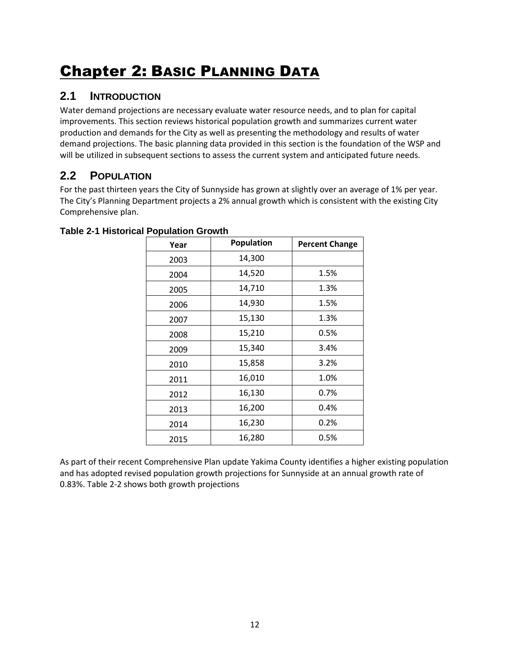# Chapter 2: BASIC PLANNING DATA

### **2.1 INTRODUCTION**

Water demand projections are necessary evaluate water resource needs, and to plan for capital improvements. This section reviews historical population growth and summarizes current water production and demands for the City as well as presenting the methodology and results of water demand projections. The basic planning data provided in this section is the foundation of the WSP and will be utilized in subsequent sections to assess the current system and anticipated future needs.

# <span id="page-0-0"></span>**2.2 POPULATION**

For the past thirteen years the City of Sunnyside has grown at slightly over an average of 1% per year. The City's Planning Department projects a 2% annual growth which is consistent with the existing City Comprehensive plan.

| Year | Population | <b>Percent Change</b> |
|------|------------|-----------------------|
| 2003 | 14,300     |                       |
| 2004 | 14,520     | 1.5%                  |
| 2005 | 14,710     | 1.3%                  |
| 2006 | 14,930     | 1.5%                  |
| 2007 | 15,130     | 1.3%                  |
| 2008 | 15,210     | 0.5%                  |
| 2009 | 15,340     | 3.4%                  |
| 2010 | 15,858     | 3.2%                  |
| 2011 | 16,010     | 1.0%                  |
| 2012 | 16,130     | 0.7%                  |
| 2013 | 16,200     | 0.4%                  |
| 2014 | 16,230     | 0.2%                  |
| 2015 | 16,280     | 0.5%                  |

|  | <b>Table 2-1 Historical Population Growth</b> |  |  |
|--|-----------------------------------------------|--|--|
|  |                                               |  |  |

As part of their recent Comprehensive Plan update Yakima County identifies a higher existing population and has adopted revised population growth projections for Sunnyside at an annual growth rate of 0.83%[. Table 2-2](#page-1-0) shows both growth projections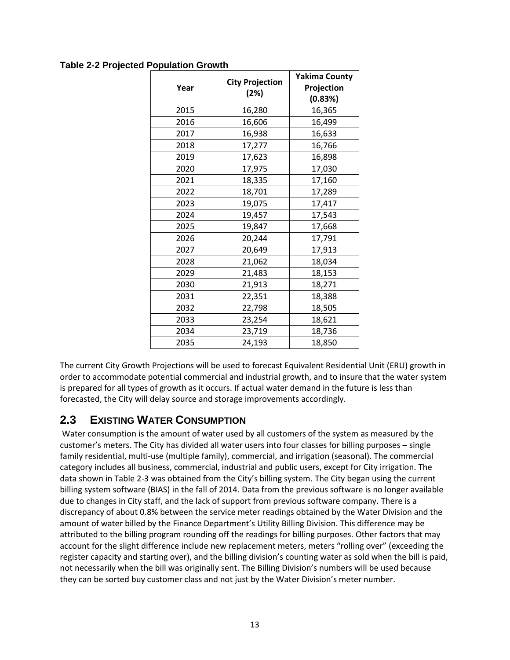### <span id="page-1-0"></span>**Table 2-2 Projected Population Growth**

| Year | <b>City Projection</b><br>(2%) | <b>Yakima County</b><br>Projection<br>(0.83%) |  |  |
|------|--------------------------------|-----------------------------------------------|--|--|
| 2015 | 16,280                         | 16,365                                        |  |  |
| 2016 | 16,606                         | 16,499                                        |  |  |
| 2017 | 16,938                         | 16,633                                        |  |  |
| 2018 | 17,277                         | 16,766                                        |  |  |
| 2019 | 17,623                         | 16,898                                        |  |  |
| 2020 | 17,975                         | 17,030                                        |  |  |
| 2021 | 18,335                         | 17,160                                        |  |  |
| 2022 | 18,701                         | 17,289                                        |  |  |
| 2023 | 19,075                         | 17,417                                        |  |  |
| 2024 | 19,457                         | 17,543                                        |  |  |
| 2025 | 19,847                         | 17,668                                        |  |  |
| 2026 | 20,244                         | 17,791                                        |  |  |
| 2027 | 20,649                         | 17,913                                        |  |  |
| 2028 | 21,062                         | 18,034                                        |  |  |
| 2029 | 21,483                         | 18,153                                        |  |  |
| 2030 | 21,913                         | 18,271                                        |  |  |
| 2031 | 22,351                         | 18,388                                        |  |  |
| 2032 | 22,798                         | 18,505                                        |  |  |
| 2033 | 23,254                         | 18,621                                        |  |  |
| 2034 | 23,719                         | 18,736                                        |  |  |
| 2035 | 24,193                         | 18,850                                        |  |  |

The current City Growth Projections will be used to forecast Equivalent Residential Unit (ERU) growth in order to accommodate potential commercial and industrial growth, and to insure that the water system is prepared for all types of growth as it occurs. If actual water demand in the future is less than forecasted, the City will delay source and storage improvements accordingly.

# <span id="page-1-1"></span>**2.3 EXISTING WATER CONSUMPTION**

Water consumption is the amount of water used by all customers of the system as measured by the customer's meters. The City has divided all water users into four classes for billing purposes – single family residential, multi-use (multiple family), commercial, and irrigation (seasonal). The commercial category includes all business, commercial, industrial and public users, except for City irrigation. The data shown in [Table 2-3](#page-2-0) was obtained from the City's billing system. The City began using the current billing system software (BIAS) in the fall of 2014. Data from the previous software is no longer available due to changes in City staff, and the lack of support from previous software company. There is a discrepancy of about 0.8% between the service meter readings obtained by the Water Division and the amount of water billed by the Finance Department's Utility Billing Division. This difference may be attributed to the billing program rounding off the readings for billing purposes. Other factors that may account for the slight difference include new replacement meters, meters "rolling over" (exceeding the register capacity and starting over), and the billing division's counting water as sold when the bill is paid, not necessarily when the bill was originally sent. The Billing Division's numbers will be used because they can be sorted buy customer class and not just by the Water Division's meter number.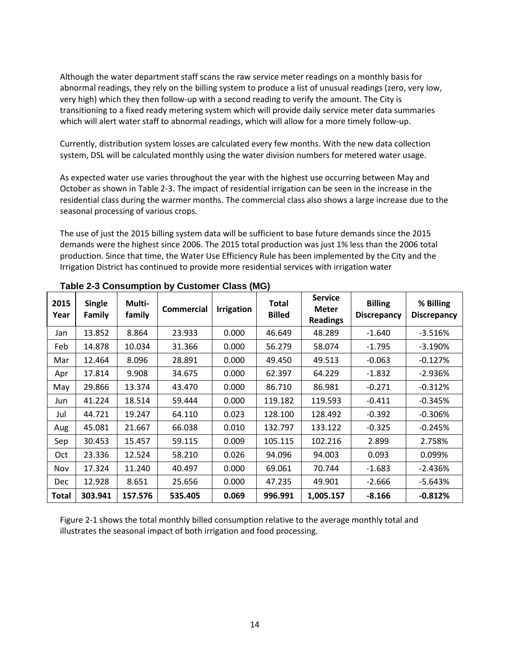Although the water department staff scans the raw service meter readings on a monthly basis for abnormal readings, they rely on the billing system to produce a list of unusual readings (zero, very low, very high) which they then follow-up with a second reading to verify the amount. The City is transitioning to a fixed ready metering system which will provide daily service meter data summaries which will alert water staff to abnormal readings, which will allow for a more timely follow-up.

Currently, distribution system losses are calculated every few months. With the new data collection system, DSL will be calculated monthly using the water division numbers for metered water usage.

As expected water use varies throughout the year with the highest use occurring between May and October as shown in Table 2-3. The impact of residential irrigation can be seen in the increase in the residential class during the warmer months. The commercial class also shows a large increase due to the seasonal processing of various crops.

The use of just the 2015 billing system data will be sufficient to base future demands since the 2015 demands were the highest since 2006. The 2015 total production was just 1% less than the 2006 total production. Since that time, the Water Use Efficiency Rule has been implemented by the City and the Irrigation District has continued to provide more residential services with irrigation water

| 2015<br>Year | <b>Single</b><br><b>Family</b> | Multi-<br>family | <b>Commercial</b> | <b>Irrigation</b> | <b>Total</b><br><b>Billed</b> | <b>Service</b><br><b>Meter</b><br><b>Readings</b> | <b>Billing</b><br><b>Discrepancy</b> | % Billing<br><b>Discrepancy</b> |
|--------------|--------------------------------|------------------|-------------------|-------------------|-------------------------------|---------------------------------------------------|--------------------------------------|---------------------------------|
| Jan          | 13.852                         | 8.864            | 23.933            | 0.000             | 46.649                        | 48.289                                            | $-1.640$                             | $-3.516%$                       |
| Feb          | 14.878                         | 10.034           | 31.366            | 0.000             | 56.279                        | 58.074                                            | $-1.795$                             | $-3.190%$                       |
| Mar          | 12.464                         | 8.096            | 28.891            | 0.000             | 49.450                        | 49.513                                            | $-0.063$                             | $-0.127%$                       |
| Apr          | 17.814                         | 9.908            | 34.675            | 0.000             | 62.397                        | 64.229                                            | $-1.832$                             | $-2.936%$                       |
| May          | 29.866                         | 13.374           | 43.470            | 0.000             | 86.710                        | 86.981                                            | $-0.271$                             | $-0.312%$                       |
| Jun          | 41.224                         | 18.514           | 59.444            | 0.000             | 119.182                       | 119.593                                           | $-0.411$                             | $-0.345%$                       |
| Jul          | 44.721                         | 19.247           | 64.110            | 0.023             | 128.100                       | 128.492                                           | $-0.392$                             | $-0.306%$                       |
| Aug          | 45.081                         | 21.667           | 66.038            | 0.010             | 132.797                       | 133.122                                           | $-0.325$                             | $-0.245%$                       |
| Sep          | 30.453                         | 15.457           | 59.115            | 0.009             | 105.115                       | 102.216                                           | 2.899                                | 2.758%                          |
| Oct          | 23.336                         | 12.524           | 58.210            | 0.026             | 94.096                        | 94.003                                            | 0.093                                | 0.099%                          |
| Nov          | 17.324                         | 11.240           | 40.497            | 0.000             | 69.061                        | 70.744                                            | $-1.683$                             | $-2.436%$                       |
| <b>Dec</b>   | 12.928                         | 8.651            | 25.656            | 0.000             | 47.235                        | 49.901                                            | $-2.666$                             | $-5.643%$                       |
| Total        | 303.941                        | 157.576          | 535.405           | 0.069             | 996.991                       | 1,005.157                                         | $-8.166$                             | $-0.812%$                       |

<span id="page-2-0"></span>**Table 2-3 Consumption by Customer Class (MG)**

[Figure 2-1](#page-3-0) shows the total monthly billed consumption relative to the average monthly total and illustrates the seasonal impact of both irrigation and food processing.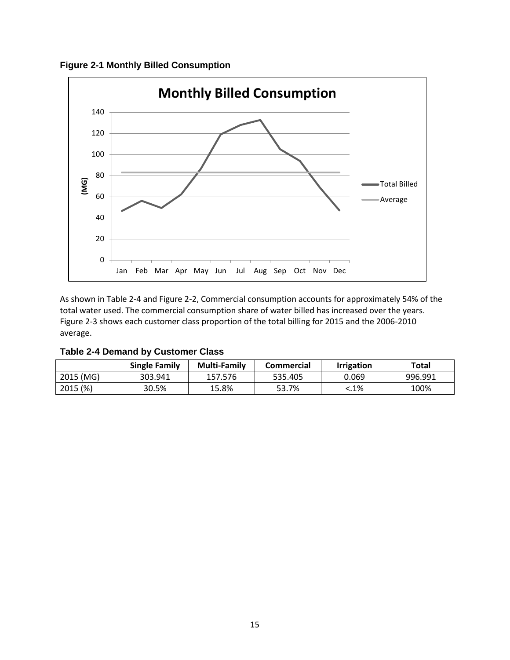<span id="page-3-0"></span>**Figure 2-1 Monthly Billed Consumption**



As shown in [Table 2-4](#page-3-1) and [Figure 2-2,](#page-4-0) Commercial consumption accounts for approximately 54% of the total water used. The commercial consumption share of water billed has increased over the years. [Figure 2-3](#page-4-1) shows each customer class proportion of the total billing for 2015 and the 2006-2010 average.

<span id="page-3-1"></span>

|  |  |  | <b>Table 2-4 Demand by Customer Class</b> |  |
|--|--|--|-------------------------------------------|--|
|--|--|--|-------------------------------------------|--|

|           | <b>Single Family</b> | <b>Multi-Family</b> | Commercial | <b>Irrigation</b> | Total   |
|-----------|----------------------|---------------------|------------|-------------------|---------|
| 2015 (MG) | 303.941              | 157.576             | 535.405    | 0.069             | 996.991 |
| 2015 (%)  | 30.5%                | 15.8%               | 53.7%      | $:1\%$            | 100%    |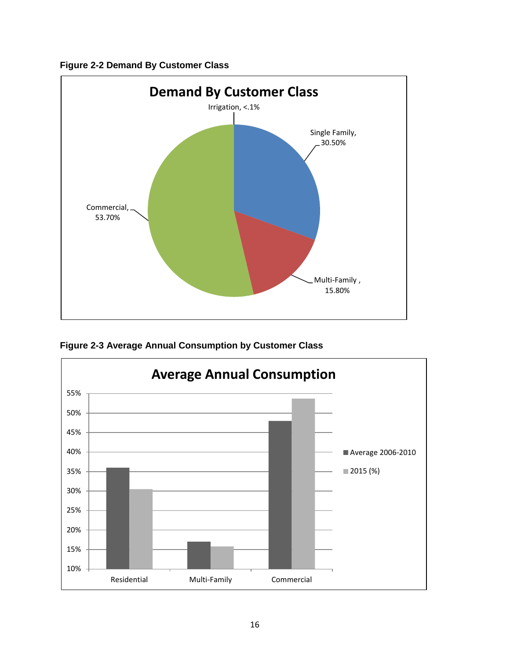<span id="page-4-0"></span>



<span id="page-4-1"></span>**Figure 2-3 Average Annual Consumption by Customer Class**

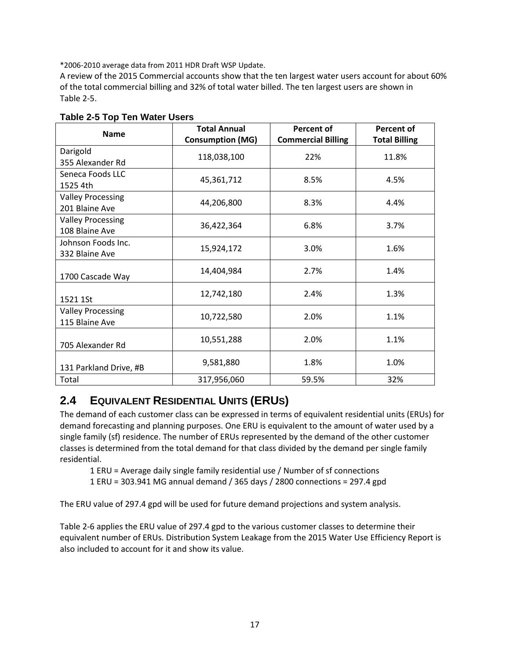\*2006-2010 average data from 2011 HDR Draft WSP Update.

A review of the 2015 Commercial accounts show that the ten largest water users account for about 60% of the total commercial billing and 32% of total water billed. The ten largest users are shown i[n](#page-5-0) [Table 2-5.](#page-5-0)

| <b>Name</b>              | <b>Total Annual</b>     | <b>Percent of</b>         | Percent of           |  |
|--------------------------|-------------------------|---------------------------|----------------------|--|
|                          | <b>Consumption (MG)</b> | <b>Commercial Billing</b> | <b>Total Billing</b> |  |
| Darigold                 | 118,038,100             | 22%                       | 11.8%                |  |
| 355 Alexander Rd         |                         |                           |                      |  |
| Seneca Foods LLC         |                         |                           |                      |  |
| 1525 4th                 | 45,361,712              | 8.5%                      | 4.5%                 |  |
| <b>Valley Processing</b> |                         |                           |                      |  |
| 201 Blaine Ave           | 44,206,800              | 8.3%                      | 4.4%                 |  |
| <b>Valley Processing</b> |                         |                           |                      |  |
| 108 Blaine Ave           | 36,422,364              | 6.8%                      | 3.7%                 |  |
| Johnson Foods Inc.       |                         |                           |                      |  |
| 332 Blaine Ave           | 15,924,172              | 3.0%                      | 1.6%                 |  |
|                          |                         | 2.7%                      | 1.4%                 |  |
| 1700 Cascade Way         | 14,404,984              |                           |                      |  |
|                          | 12,742,180              | 2.4%                      | 1.3%                 |  |
| 1521 1St                 |                         |                           |                      |  |
| <b>Valley Processing</b> | 10,722,580              | 2.0%                      | 1.1%                 |  |
| 115 Blaine Ave           |                         |                           |                      |  |
|                          | 10,551,288              | 2.0%                      | 1.1%                 |  |
| 705 Alexander Rd         |                         |                           |                      |  |
|                          | 9,581,880               | 1.8%                      | 1.0%                 |  |
| 131 Parkland Drive, #B   |                         |                           |                      |  |
| Total                    | 317,956,060             | 59.5%                     | 32%                  |  |

### <span id="page-5-0"></span>**Table 2-5 Top Ten Water Users**

# **2.4 EQUIVALENT RESIDENTIAL UNITS (ERUS)**

The demand of each customer class can be expressed in terms of equivalent residential units (ERUs) for demand forecasting and planning purposes. One ERU is equivalent to the amount of water used by a single family (sf) residence. The number of ERUs represented by the demand of the other customer classes is determined from the total demand for that class divided by the demand per single family residential.

1 ERU = Average daily single family residential use / Number of sf connections

1 ERU = 303.941 MG annual demand / 365 days / 2800 connections = 297.4 gpd

The ERU value of 297.4 gpd will be used for future demand projections and system analysis.

[Table 2-6](#page-6-0) applies the ERU value of 297.4 gpd to the various customer classes to determine their equivalent number of ERUs. Distribution System Leakage from the 2015 Water Use Efficiency Report is also included to account for it and show its value.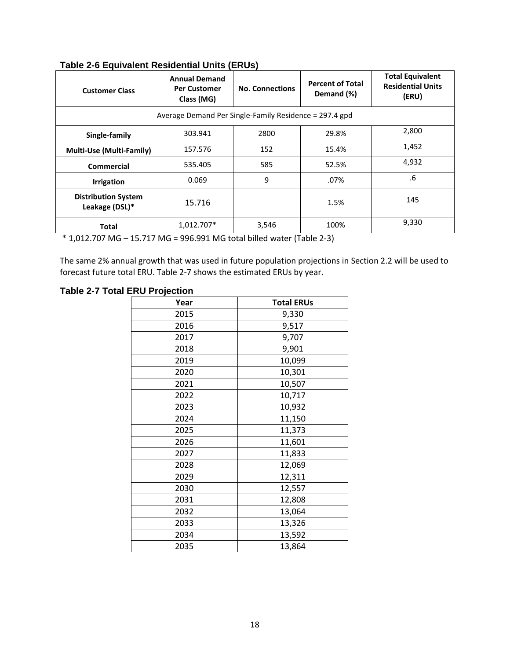| <b>Customer Class</b>                                  | <b>Annual Demand</b><br><b>Per Customer</b><br>Class (MG) | <b>No. Connections</b> | <b>Percent of Total</b><br>Demand (%) | <b>Total Equivalent</b><br><b>Residential Units</b><br>(ERU) |  |  |  |
|--------------------------------------------------------|-----------------------------------------------------------|------------------------|---------------------------------------|--------------------------------------------------------------|--|--|--|
| Average Demand Per Single-Family Residence = 297.4 gpd |                                                           |                        |                                       |                                                              |  |  |  |
| Single-family                                          | 303.941                                                   | 2800                   | 29.8%                                 | 2,800                                                        |  |  |  |
| <b>Multi-Use (Multi-Family)</b>                        | 157.576                                                   | 152                    | 15.4%                                 | 1,452                                                        |  |  |  |
| Commercial                                             | 535.405                                                   | 585                    | 52.5%                                 | 4,932                                                        |  |  |  |
| <b>Irrigation</b>                                      | 0.069                                                     | 9                      | .07%                                  | .6                                                           |  |  |  |
| <b>Distribution System</b><br>Leakage (DSL)*           | 15.716                                                    |                        | 1.5%                                  | 145                                                          |  |  |  |
| Total                                                  | 1,012.707*                                                | 3,546                  | 100%                                  | 9,330                                                        |  |  |  |

### <span id="page-6-0"></span>**Table 2-6 Equivalent Residential Units (ERUs)**

\* 1,012.707 MG – 15.717 MG = 996.991 MG total billed water [\(Table 2-3\)](#page-2-0)

The same 2% annual growth that was used in future population projections in Section [2.2](#page-0-0) will be used to forecast future total ERU. [Table 2-7](#page-6-1) shows the estimated ERUs by year.

#### <span id="page-6-1"></span>**Table 2-7 Total ERU Projection**

| Year | <b>Total ERUs</b> |
|------|-------------------|
| 2015 | 9,330             |
| 2016 | 9,517             |
| 2017 | 9,707             |
| 2018 | 9,901             |
| 2019 | 10,099            |
| 2020 | 10,301            |
| 2021 | 10,507            |
| 2022 | 10,717            |
| 2023 | 10,932            |
| 2024 | 11,150            |
| 2025 | 11,373            |
| 2026 | 11,601            |
| 2027 | 11,833            |
| 2028 | 12,069            |
| 2029 | 12,311            |
| 2030 | 12,557            |
| 2031 | 12,808            |
| 2032 | 13,064            |
| 2033 | 13,326            |
| 2034 | 13,592            |
| 2035 | 13,864            |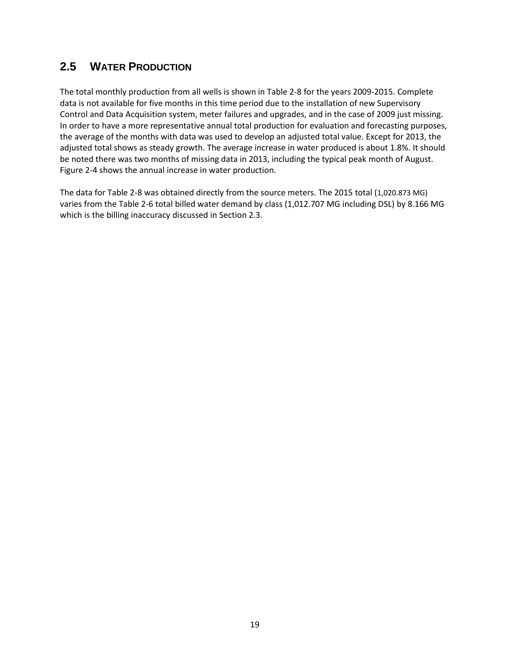### **2.5 WATER PRODUCTION**

The total monthly production from all wells is shown i[n Table 2-8](#page-8-0) for the years 2009-2015. Complete data is not available for five months in this time period due to the installation of new Supervisory Control and Data Acquisition system, meter failures and upgrades, and in the case of 2009 just missing. In order to have a more representative annual total production for evaluation and forecasting purposes, the average of the months with data was used to develop an adjusted total value. Except for 2013, the adjusted total shows as steady growth. The average increase in water produced is about 1.8%. It should be noted there was two months of missing data in 2013, including the typical peak month of August. [Figure 2-4](#page-9-0) shows the annual increase in water production.

The data for [Table 2-8](#page-8-0) was obtained directly from the source meters. The 2015 total (1,020.873 MG) varies from th[e Table 2-6](#page-6-0) total billed water demand by class (1,012.707 MG including DSL) by 8.166 MG which is the billing inaccuracy discussed in Sectio[n 2.3.](#page-1-1)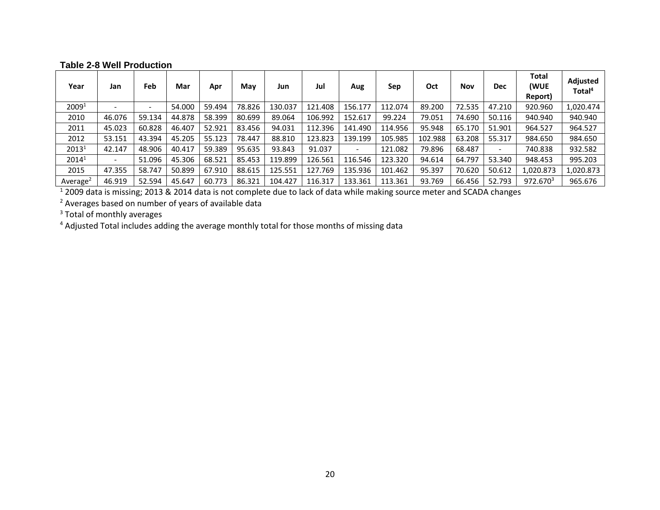#### **Table 2-8 Well Production**

| Year                 | Jan                      | Feb    | Mar    | Apr    | May    | Jun     | Jul     | Aug                      | Sep     | Oct     | <b>Nov</b> | <b>Dec</b>               | <b>Total</b><br>(WUE<br>Report) | Adjusted<br>Total <sup>4</sup> |
|----------------------|--------------------------|--------|--------|--------|--------|---------|---------|--------------------------|---------|---------|------------|--------------------------|---------------------------------|--------------------------------|
| 2009 <sup>1</sup>    |                          |        | 54.000 | 59.494 | 78.826 | 130.037 | 121.408 | 156.177                  | 112.074 | 89.200  | 72.535     | 47.210                   | 920.960                         | 1,020.474                      |
| 2010                 | 46.076                   | 59.134 | 44.878 | 58.399 | 80.699 | 89.064  | 106.992 | 152.617                  | 99.224  | 79.051  | 74.690     | 50.116                   | 940.940                         | 940.940                        |
| 2011                 | 45.023                   | 60.828 | 46.407 | 52.921 | 83.456 | 94.031  | 112.396 | 141.490                  | 114.956 | 95.948  | 65.170     | 51.901                   | 964.527                         | 964.527                        |
| 2012                 | 53.151                   | 43.394 | 45.205 | 55.123 | 78.447 | 88.810  | 123.823 | 139.199                  | 105.985 | 102.988 | 63.208     | 55.317                   | 984.650                         | 984.650                        |
| 2013 <sup>1</sup>    | 42.147                   | 48.906 | 40.417 | 59.389 | 95.635 | 93.843  | 91.037  | $\overline{\phantom{a}}$ | 121.082 | 79.896  | 68.487     | $\overline{\phantom{a}}$ | 740.838                         | 932.582                        |
| $2014^1$             | $\overline{\phantom{0}}$ | 51.096 | 45.306 | 68.521 | 85.453 | 119.899 | 126.561 | 116.546                  | 123.320 | 94.614  | 64.797     | 53.340                   | 948.453                         | 995.203                        |
| 2015                 | 47.355                   | 58.747 | 50.899 | 67.910 | 88.615 | 125.551 | 127.769 | 135.936                  | 101.462 | 95.397  | 70.620     | 50.612                   | 1,020.873                       | 1,020.873                      |
| Average <sup>2</sup> | 46.919                   | 52.594 | 45.647 | 60.773 | 86.321 | 104.427 | 116.317 | 133.361                  | 113.361 | 93.769  | 66.456     | 52.793                   | 972.670 <sup>3</sup>            | 965.676                        |

<sup>1</sup> 2009 data is missing; 2013 & 2014 data is not complete due to lack of data while making source meter and SCADA changes

<sup>2</sup> Averages based on number of years of available data

<span id="page-8-0"></span><sup>3</sup> Total of monthly averages

<sup>4</sup> Adjusted Total includes adding the average monthly total for those months of missing data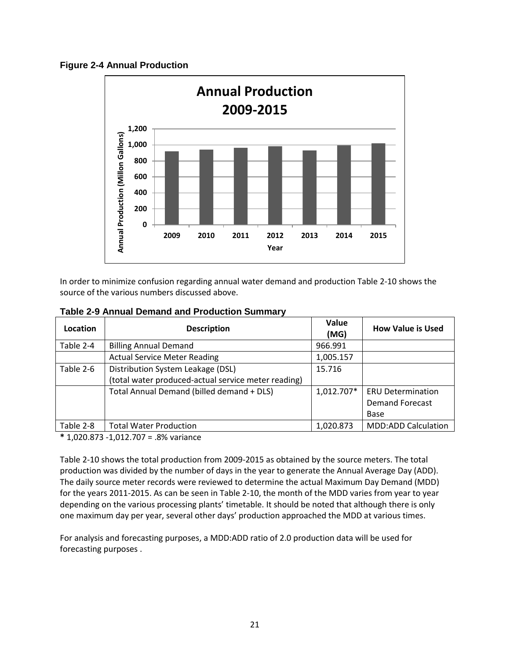<span id="page-9-0"></span>



In order to minimize confusion regarding annual water demand and production [Table 2-10](#page-10-0) shows the source of the various numbers discussed above.

| Location  | <b>Description</b>                                  | Value<br>(MG) | <b>How Value is Used</b>   |
|-----------|-----------------------------------------------------|---------------|----------------------------|
| Table 2-4 | <b>Billing Annual Demand</b>                        | 966.991       |                            |
|           | <b>Actual Service Meter Reading</b>                 | 1,005.157     |                            |
| Table 2-6 | Distribution System Leakage (DSL)                   | 15.716        |                            |
|           | (total water produced-actual service meter reading) |               |                            |
|           | Total Annual Demand (billed demand + DLS)           | 1,012.707*    | <b>ERU Determination</b>   |
|           |                                                     |               | <b>Demand Forecast</b>     |
|           |                                                     |               | Base                       |
| Table 2-8 | <b>Total Water Production</b>                       | 1,020.873     | <b>MDD:ADD Calculation</b> |

**Table 2-9 Annual Demand and Production Summary**

**\*** 1,020.873 -1,012.707 = .8% variance

[Table 2-10](#page-10-0) shows the total production from 2009-2015 as obtained by the source meters. The total production was divided by the number of days in the year to generate the Annual Average Day (ADD). The daily source meter records were reviewed to determine the actual Maximum Day Demand (MDD) for the years 2011-2015. As can be seen in [Table 2-10,](#page-10-0) the month of the MDD varies from year to year depending on the various processing plants' timetable. It should be noted that although there is only one maximum day per year, several other days' production approached the MDD at various times.

For analysis and forecasting purposes, a MDD:ADD ratio of 2.0 production data will be used for forecasting purposes .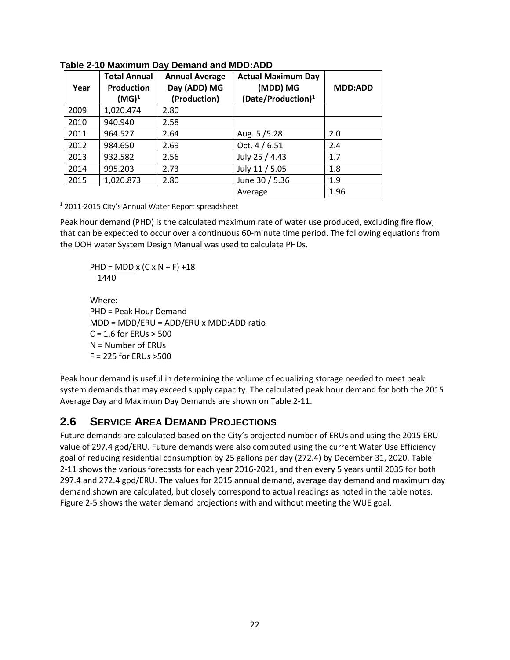| Year | <b>Total Annual</b><br><b>Production</b><br>$(MG)^1$ | <b>Annual Average</b><br>Day (ADD) MG<br>(Production) | <b>Actual Maximum Day</b><br>(MDD) MG<br>(Date/Production) <sup>1</sup> | <b>MDD:ADD</b> |
|------|------------------------------------------------------|-------------------------------------------------------|-------------------------------------------------------------------------|----------------|
| 2009 | 1,020.474                                            | 2.80                                                  |                                                                         |                |
| 2010 | 940.940                                              | 2.58                                                  |                                                                         |                |
| 2011 | 964.527                                              | 2.64                                                  | Aug. 5/5.28                                                             | 2.0            |
| 2012 | 984.650                                              | 2.69                                                  | Oct. 4 / 6.51                                                           | 2.4            |
| 2013 | 932.582                                              | 2.56                                                  | July 25 / 4.43                                                          | 1.7            |
| 2014 | 995.203                                              | 2.73                                                  | July 11 / 5.05                                                          | 1.8            |
| 2015 | 1,020.873                                            | 2.80                                                  | June 30 / 5.36                                                          | 1.9            |
|      |                                                      |                                                       | Average                                                                 | 1.96           |

<span id="page-10-0"></span>**Table 2-10 Maximum Day Demand and MDD:ADD**

<sup>1</sup> 2011-2015 City's Annual Water Report spreadsheet

Peak hour demand (PHD) is the calculated maximum rate of water use produced, excluding fire flow, that can be expected to occur over a continuous 60-minute time period. The following equations from the DOH water System Design Manual was used to calculate PHDs.

PHD = MDD x  $(C \times N + F) + 18$ 1440

Where: PHD = Peak Hour Demand MDD = MDD/ERU = ADD/ERU x MDD:ADD ratio  $C = 1.6$  for ERUs  $> 500$ N = Number of ERUs F = 225 for ERUs >500

Peak hour demand is useful in determining the volume of equalizing storage needed to meet peak system demands that may exceed supply capacity. The calculated peak hour demand for both the 2015 Average Day and Maximum Day Demands are shown on Table 2-11.

# **2.6 SERVICE AREA DEMAND PROJECTIONS**

Future demands are calculated based on the City's projected number of ERUs and using the 2015 ERU value of 297.4 gpd/ERU. Future demands were also computed using the current Water Use Efficiency goal of reducing residential consumption by 25 gallons per day (272.4) by December 31, 2020. [Table](#page-11-0)  [2-11](#page-11-0) shows the various forecasts for each year 2016-2021, and then every 5 years until 2035 for both 297.4 and 272.4 gpd/ERU. The values for 2015 annual demand, average day demand and maximum day demand shown are calculated, but closely correspond to actual readings as noted in the table notes. [Figure 2-5](#page-12-0) shows the water demand projections with and without meeting the WUE goal.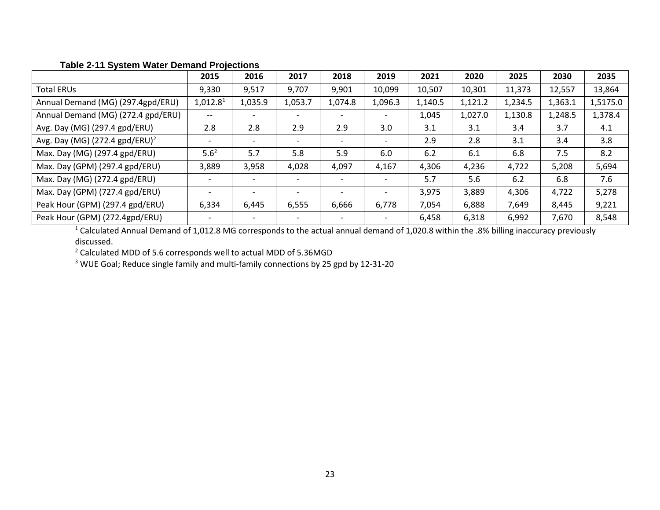|                                            | 2015                     | 2016    | 2017    | 2018    | 2019                     | 2021    | 2020    | 2025    | 2030    | 2035     |
|--------------------------------------------|--------------------------|---------|---------|---------|--------------------------|---------|---------|---------|---------|----------|
| <b>Total ERUs</b>                          | 9,330                    | 9,517   | 9,707   | 9,901   | 10,099                   | 10,507  | 10,301  | 11,373  | 12,557  | 13,864   |
| Annual Demand (MG) (297.4gpd/ERU)          | 1,012.8 <sup>1</sup>     | 1,035.9 | 1,053.7 | 1,074.8 | 1,096.3                  | 1,140.5 | 1,121.2 | 1,234.5 | 1,363.1 | 1,5175.0 |
| Annual Demand (MG) (272.4 gpd/ERU)         | $\overline{\phantom{m}}$ |         |         |         |                          | 1,045   | 1,027.0 | 1,130.8 | 1,248.5 | 1,378.4  |
| Avg. Day (MG) (297.4 gpd/ERU)              | 2.8                      | 2.8     | 2.9     | 2.9     | 3.0                      | 3.1     | 3.1     | 3.4     | 3.7     | 4.1      |
| Avg. Day (MG) (272.4 gpd/ERU) <sup>2</sup> |                          |         |         |         | $\overline{\phantom{a}}$ | 2.9     | 2.8     | 3.1     | 3.4     | 3.8      |
| Max. Day (MG) (297.4 gpd/ERU)              | 5.6 <sup>2</sup>         | 5.7     | 5.8     | 5.9     | 6.0                      | 6.2     | 6.1     | 6.8     | 7.5     | 8.2      |
| Max. Day (GPM) (297.4 gpd/ERU)             | 3,889                    | 3,958   | 4,028   | 4,097   | 4,167                    | 4,306   | 4,236   | 4,722   | 5,208   | 5,694    |
| Max. Day (MG) (272.4 gpd/ERU)              |                          |         |         |         | $\overline{\phantom{a}}$ | 5.7     | 5.6     | 6.2     | 6.8     | 7.6      |
| Max. Day (GPM) (727.4 gpd/ERU)             |                          |         |         |         |                          | 3,975   | 3,889   | 4,306   | 4,722   | 5,278    |
| Peak Hour (GPM) (297.4 gpd/ERU)            | 6,334                    | 6,445   | 6,555   | 6,666   | 6,778                    | 7,054   | 6,888   | 7,649   | 8,445   | 9,221    |
| Peak Hour (GPM) (272.4gpd/ERU)             |                          |         |         |         |                          | 6,458   | 6,318   | 6,992   | 7,670   | 8,548    |

### **Table 2-11 System Water Demand Projections**

<span id="page-11-0"></span><sup>1</sup> Calculated Annual Demand of 1,012.8 MG corresponds to the actual annual demand of 1,020.8 within the .8% billing inaccuracy previously discussed.

<sup>2</sup> Calculated MDD of 5.6 corresponds well to actual MDD of 5.36MGD

<sup>3</sup> WUE Goal; Reduce single family and multi-family connections by 25 gpd by 12-31-20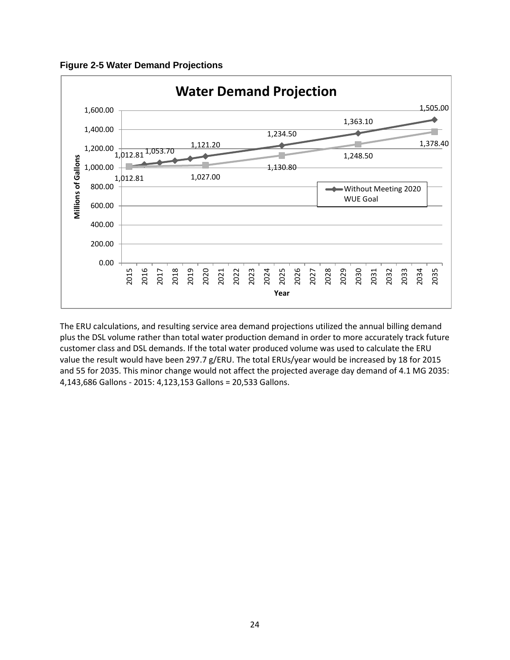<span id="page-12-0"></span>**Figure 2-5 Water Demand Projections**



The ERU calculations, and resulting service area demand projections utilized the annual billing demand plus the DSL volume rather than total water production demand in order to more accurately track future customer class and DSL demands. If the total water produced volume was used to calculate the ERU value the result would have been 297.7 g/ERU. The total ERUs/year would be increased by 18 for 2015 and 55 for 2035. This minor change would not affect the projected average day demand of 4.1 MG 2035: 4,143,686 Gallons - 2015: 4,123,153 Gallons = 20,533 Gallons.